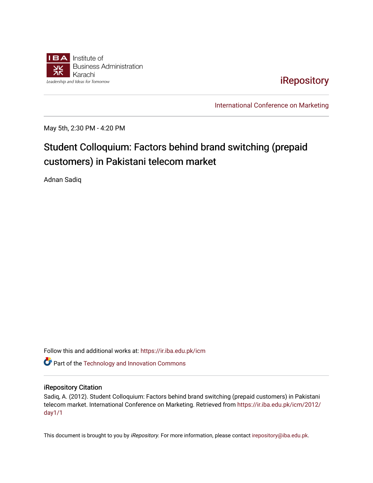

[iRepository](https://ir.iba.edu.pk/) 

[International Conference on Marketing](https://ir.iba.edu.pk/icm) 

May 5th, 2:30 PM - 4:20 PM

## Student Colloquium: Factors behind brand switching (prepaid customers) in Pakistani telecom market

Adnan Sadiq

Follow this and additional works at: [https://ir.iba.edu.pk/icm](https://ir.iba.edu.pk/icm?utm_source=ir.iba.edu.pk%2Ficm%2F2012%2Fday1%2F1&utm_medium=PDF&utm_campaign=PDFCoverPages) 

**C** Part of the [Technology and Innovation Commons](http://network.bepress.com/hgg/discipline/644?utm_source=ir.iba.edu.pk%2Ficm%2F2012%2Fday1%2F1&utm_medium=PDF&utm_campaign=PDFCoverPages)

## iRepository Citation

Sadiq, A. (2012). Student Colloquium: Factors behind brand switching (prepaid customers) in Pakistani telecom market. International Conference on Marketing. Retrieved from [https://ir.iba.edu.pk/icm/2012/](https://ir.iba.edu.pk/icm/2012/day1/1?utm_source=ir.iba.edu.pk%2Ficm%2F2012%2Fday1%2F1&utm_medium=PDF&utm_campaign=PDFCoverPages) [day1/1](https://ir.iba.edu.pk/icm/2012/day1/1?utm_source=ir.iba.edu.pk%2Ficm%2F2012%2Fday1%2F1&utm_medium=PDF&utm_campaign=PDFCoverPages)

This document is brought to you by iRepository. For more information, please contact [irepository@iba.edu.pk](mailto:irepository@iba.edu.pk).